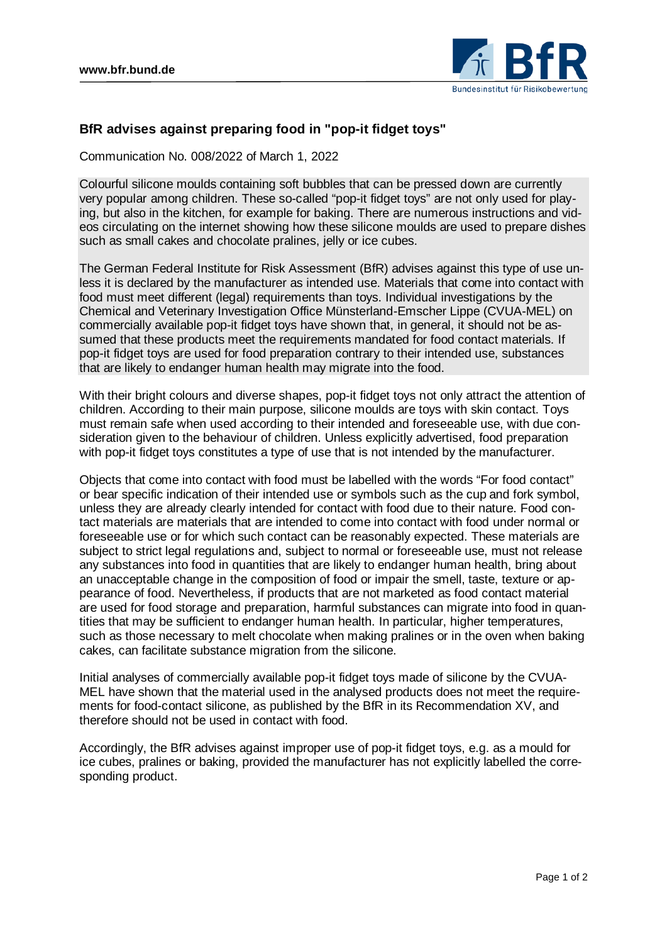

## **BfR advises against preparing food in "pop-it fidget toys"**

Communication No. 008/2022 of March 1, 2022

Colourful silicone moulds containing soft bubbles that can be pressed down are currently very popular among children. These so-called "pop-it fidget toys" are not only used for playing, but also in the kitchen, for example for baking. There are numerous instructions and videos circulating on the internet showing how these silicone moulds are used to prepare dishes such as small cakes and chocolate pralines, jelly or ice cubes.

The German Federal Institute for Risk Assessment (BfR) advises against this type of use unless it is declared by the manufacturer as intended use. Materials that come into contact with food must meet different (legal) requirements than toys. Individual investigations by the Chemical and Veterinary Investigation Office Münsterland-Emscher Lippe (CVUA-MEL) on commercially available pop-it fidget toys have shown that, in general, it should not be assumed that these products meet the requirements mandated for food contact materials. If pop-it fidget toys are used for food preparation contrary to their intended use, substances that are likely to endanger human health may migrate into the food.

With their bright colours and diverse shapes, pop-it fidget toys not only attract the attention of children. According to their main purpose, silicone moulds are toys with skin contact. Toys must remain safe when used according to their intended and foreseeable use, with due consideration given to the behaviour of children. Unless explicitly advertised, food preparation with pop-it fidget toys constitutes a type of use that is not intended by the manufacturer.

Objects that come into contact with food must be labelled with the words "For food contact" or bear specific indication of their intended use or symbols such as the cup and fork symbol, unless they are already clearly intended for contact with food due to their nature. Food contact materials are materials that are intended to come into contact with food under normal or foreseeable use or for which such contact can be reasonably expected. These materials are subject to strict legal regulations and, subject to normal or foreseeable use, must not release any substances into food in quantities that are likely to endanger human health, bring about an unacceptable change in the composition of food or impair the smell, taste, texture or appearance of food. Nevertheless, if products that are not marketed as food contact material are used for food storage and preparation, harmful substances can migrate into food in quantities that may be sufficient to endanger human health. In particular, higher temperatures, such as those necessary to melt chocolate when making pralines or in the oven when baking cakes, can facilitate substance migration from the silicone.

Initial analyses of commercially available pop-it fidget toys made of silicone by the CVUA-MEL have shown that the material used in the analysed products does not meet the requirements for food-contact silicone, as published by the BfR in its Recommendation XV, and therefore should not be used in contact with food.

Accordingly, the BfR advises against improper use of pop-it fidget toys, e.g. as a mould for ice cubes, pralines or baking, provided the manufacturer has not explicitly labelled the corresponding product.